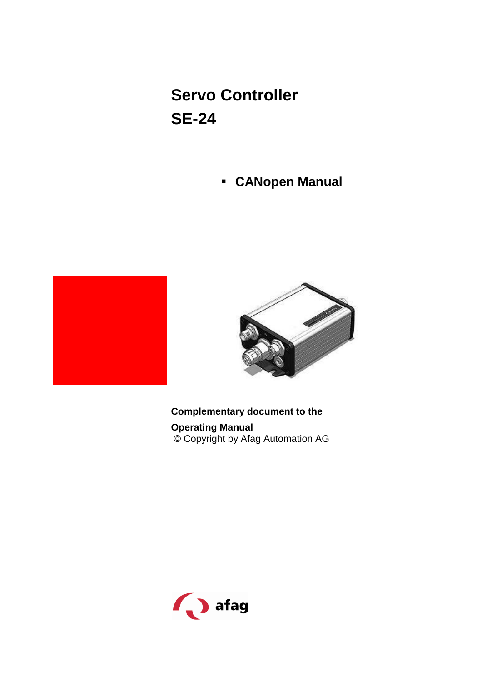# **Servo Controller SE-24**

**CANopen Manual**



### **Complementary document to the**

**Operating Manual** © Copyright by Afag Automation AG

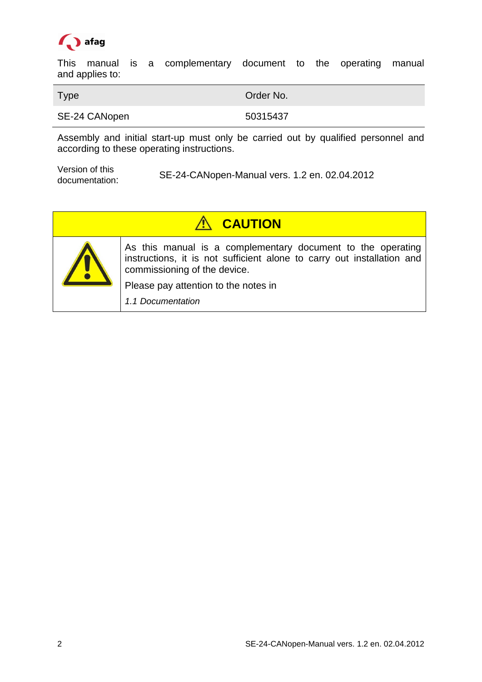

This manual is a complementary document to the operating manual and applies to:

Type **Order No.** 2014

SE-24 CANopen 50315437

Assembly and initial start-up must only be carried out by qualified personnel and according to these operating instructions.

Version of this documentation:

SE-24-CANopen-Manual vers. 1.2 en. 02.04.2012

| <b>A CAUTION</b> |                                                                                                                                                                       |  |
|------------------|-----------------------------------------------------------------------------------------------------------------------------------------------------------------------|--|
|                  | As this manual is a complementary document to the operating<br>instructions, it is not sufficient alone to carry out installation and<br>commissioning of the device. |  |
|                  | Please pay attention to the notes in                                                                                                                                  |  |
|                  | 1.1 Documentation                                                                                                                                                     |  |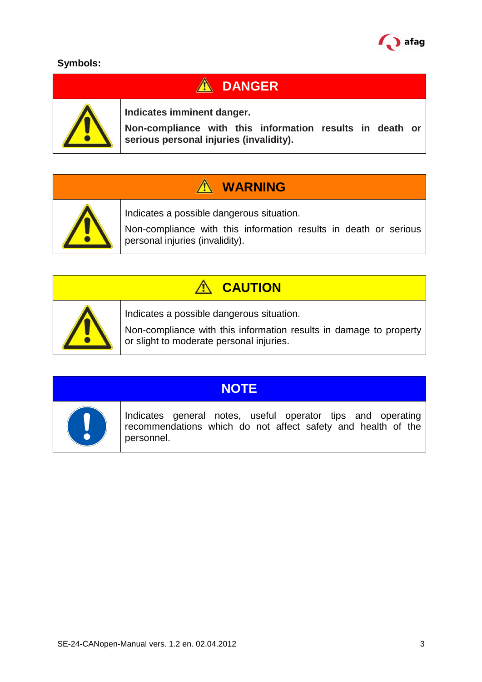

### **Symbols:**

# **A** DANGER



**Indicates imminent danger.**

**Non-compliance with this information results in death or serious personal injuries (invalidity).**

# **WARNING**



Indicates a possible dangerous situation.

Non-compliance with this information results in death or serious personal injuries (invalidity).

#### $\bigwedge$ **CAUTION**



Indicates a possible dangerous situation.

Non-compliance with this information results in damage to property or slight to moderate personal injuries.

# **NOTE**



Indicates general notes, useful operator tips and operating recommendations which do not affect safety and health of the personnel.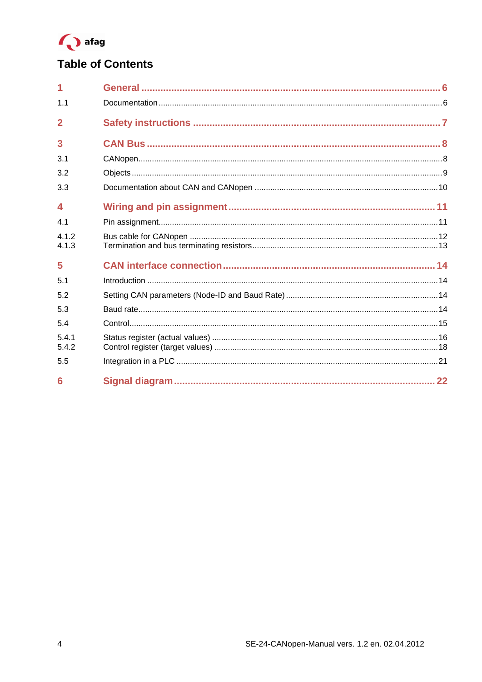

# **Table of Contents**

| 1.1            |  |
|----------------|--|
| $\overline{2}$ |  |
| 3              |  |
| 3.1            |  |
| 3.2            |  |
| 3.3            |  |
| 4              |  |
| 4 <sub>1</sub> |  |
| 4.1.2<br>4.1.3 |  |
| 5              |  |
| 5.1            |  |
| 5.2            |  |
| 5.3            |  |
| 5.4            |  |
| 5.4.1<br>5.4.2 |  |
| 5.5            |  |
| 6              |  |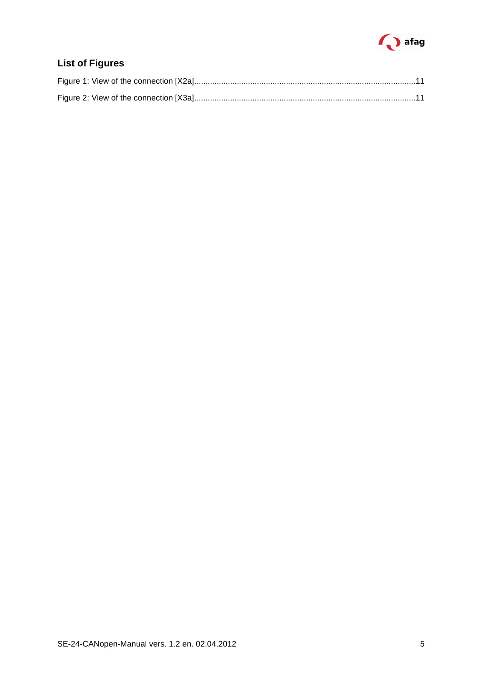

# **List of Figures**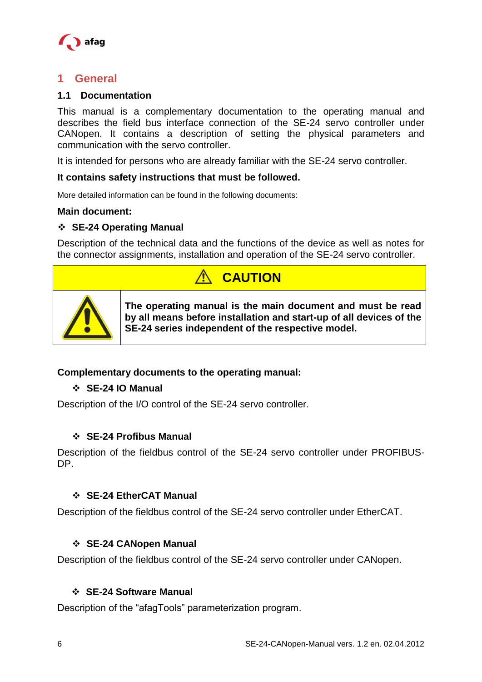

### <span id="page-5-1"></span>**1 General**

#### <span id="page-5-0"></span>**1.1 Documentation**

This manual is a complementary documentation to the operating manual and describes the field bus interface connection of the SE-24 servo controller under CANopen. It contains a description of setting the physical parameters and communication with the servo controller.

It is intended for persons who are already familiar with the SE-24 servo controller.

#### **It contains safety instructions that must be followed.**

More detailed information can be found in the following documents:

#### **Main document:**

#### **SE-24 Operating Manual**

Description of the technical data and the functions of the device as well as notes for the connector assignments, installation and operation of the SE-24 servo controller.



#### **Complementary documents to the operating manual:**

#### **SE-24 IO Manual**

Description of the I/O control of the SE-24 servo controller.

#### **SE-24 Profibus Manual**

Description of the fieldbus control of the SE-24 servo controller under PROFIBUS-DP.

#### **SE-24 EtherCAT Manual**

Description of the fieldbus control of the SE-24 servo controller under EtherCAT.

#### **SE-24 CANopen Manual**

Description of the fieldbus control of the SE-24 servo controller under CANopen.

#### **SE-24 Software Manual**

Description of the "afagTools" parameterization program.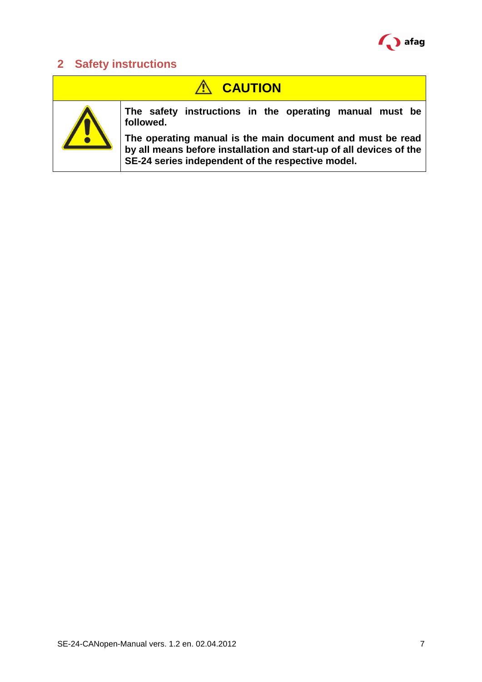

# <span id="page-6-0"></span>**2 Safety instructions**

| <b>AN CAUTION</b> |                                                                                                                                                                                        |  |  |
|-------------------|----------------------------------------------------------------------------------------------------------------------------------------------------------------------------------------|--|--|
|                   | The safety instructions in the operating manual must be<br>followed.                                                                                                                   |  |  |
|                   | The operating manual is the main document and must be read<br>by all means before installation and start-up of all devices of the<br>SE-24 series independent of the respective model. |  |  |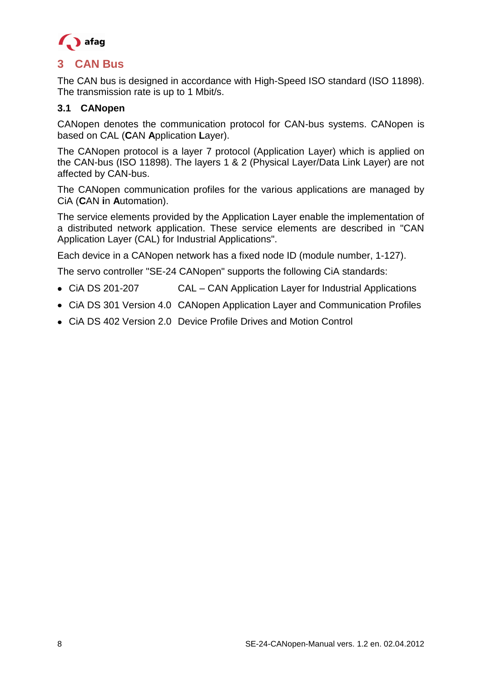

<span id="page-7-0"></span>The CAN bus is designed in accordance with High-Speed ISO standard (ISO 11898). The transmission rate is up to 1 Mbit/s.

#### <span id="page-7-1"></span>**3.1 CANopen**

CANopen denotes the communication protocol for CAN-bus systems. CANopen is based on CAL (**C**AN **A**pplication **L**ayer).

The CANopen protocol is a layer 7 protocol (Application Layer) which is applied on the CAN-bus (ISO 11898). The layers 1 & 2 (Physical Layer/Data Link Layer) are not affected by CAN-bus.

The CANopen communication profiles for the various applications are managed by CiA (**C**AN **i**n **A**utomation).

The service elements provided by the Application Layer enable the implementation of a distributed network application. These service elements are described in "CAN Application Layer (CAL) for Industrial Applications".

Each device in a CANopen network has a fixed node ID (module number, 1-127).

The servo controller "SE-24 CANopen" supports the following CiA standards:

- CiA DS 201-207 CAL CAN Application Layer for Industrial Applications
- CiA DS 301 Version 4.0 CANopen Application Layer and Communication Profiles
- CiA DS 402 Version 2.0 Device Profile Drives and Motion Control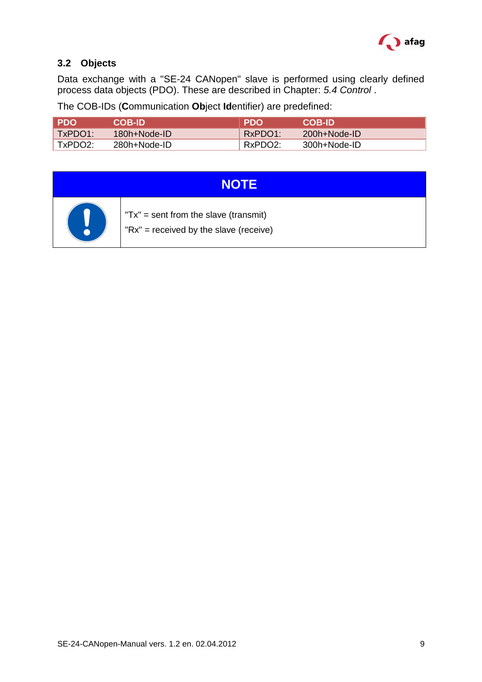

### <span id="page-8-1"></span><span id="page-8-0"></span>**3.2 Objects**

Data exchange with a "SE-24 CANopen" slave is performed using clearly defined process data objects (PDO). These are described in Chapter: *[5.4](#page-14-0) [Control](#page-14-0)* .

|  |  | The COB-IDs (Communication Object Identifier) are predefined: |  |  |  |
|--|--|---------------------------------------------------------------|--|--|--|
|--|--|---------------------------------------------------------------|--|--|--|

| <b>PDO</b> | <b>COB-ID</b> | <b>PDO</b> | <b>COB-ID</b> |
|------------|---------------|------------|---------------|
| TxPDO1     | 180h+Node-ID  | RxPDO1:    | 200h+Node-ID  |
| TxPDO2:    | 280h+Node-ID  | RxPDO2:    | 300h+Node-ID  |

| NO                                                                                     |
|----------------------------------------------------------------------------------------|
| $T x'' = sent from the slave (transmit)$<br>" $Rx$ " = received by the slave (receive) |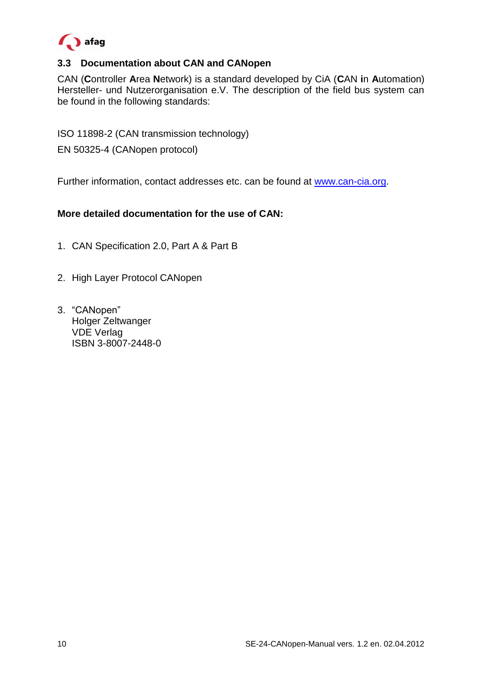

### <span id="page-9-0"></span>**3.3 Documentation about CAN and CANopen**

CAN (**C**ontroller **A**rea **N**etwork) is a standard developed by CiA (**C**AN **i**n **A**utomation) Hersteller- und Nutzerorganisation e.V. The description of the field bus system can be found in the following standards:

ISO 11898-2 (CAN transmission technology)

EN 50325-4 (CANopen protocol)

Further information, contact addresses etc. can be found at [www.can-cia.org.](http://www.can-cia.org/)

#### **More detailed documentation for the use of CAN:**

- 1. CAN Specification 2.0, Part A & Part B
- 2. High Layer Protocol CANopen
- 3. "CANopen" Holger Zeltwanger VDE Verlag ISBN 3-8007-2448-0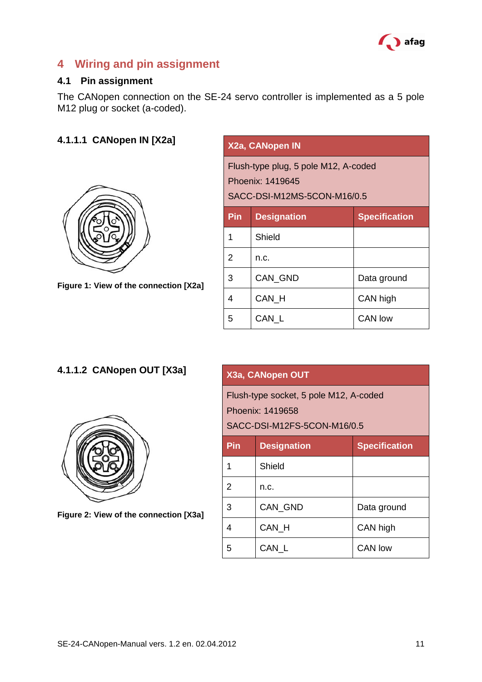

# <span id="page-10-0"></span>**4 Wiring and pin assignment**

#### <span id="page-10-1"></span>**4.1 Pin assignment**

The CANopen connection on the SE-24 servo controller is implemented as a 5 pole M12 plug or socket (a-coded).

### **4.1.1.1 CANopen IN [X2a]**



**Figure 1: View of the connection [X2a]**

| X2a, CANopen IN                                                                         |                                            |             |  |
|-----------------------------------------------------------------------------------------|--------------------------------------------|-------------|--|
| Flush-type plug, 5 pole M12, A-coded<br>Phoenix: 1419645<br>SACC-DSI-M12MS-5CON-M16/0.5 |                                            |             |  |
| Pin                                                                                     | <b>Specification</b><br><b>Designation</b> |             |  |
| 1                                                                                       | Shield                                     |             |  |
| $\mathcal{P}$                                                                           | n.c.                                       |             |  |
| 3                                                                                       | <b>CAN GND</b>                             | Data ground |  |
| 4                                                                                       | CAN_H                                      | CAN high    |  |
| 5                                                                                       | CAN L                                      | CAN low     |  |

### **4.1.1.2 CANopen OUT [X3a]**



**Figure 2: View of the connection [X3a]**

| X3a, CANopen OUT |  |
|------------------|--|
|                  |  |

Flush-type socket, 5 pole M12, A-coded Phoenix: 1419658

SACC-DSI-M12FS-5CON-M16/0.5

| Pin | <b>Designation</b> | <b>Specification</b> |
|-----|--------------------|----------------------|
|     |                    |                      |
| 1   | Shield             |                      |
| 2   | n.c.               |                      |
| 3   | CAN_GND            | Data ground          |
| 4   | CAN H              | CAN high             |
| 5   | CAN L              | <b>CAN</b> low       |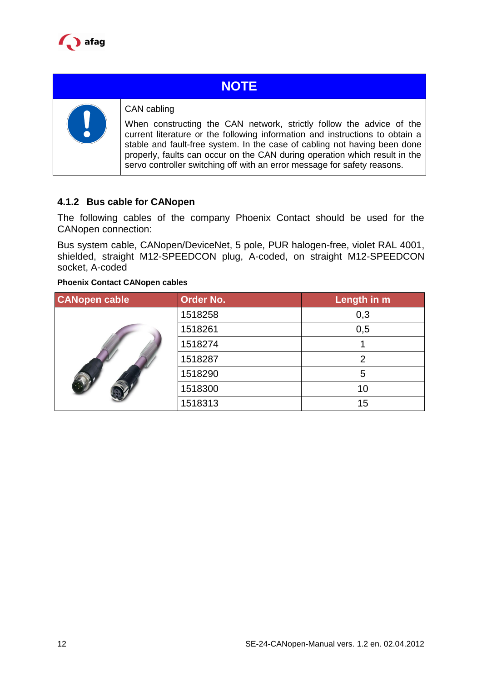

# **NOTE**



#### CAN cabling

When constructing the CAN network, strictly follow the advice of the current literature or the following information and instructions to obtain a stable and fault-free system. In the case of cabling not having been done properly, faults can occur on the CAN during operation which result in the servo controller switching off with an error message for safety reasons.

#### <span id="page-11-0"></span>**4.1.2 Bus cable for CANopen**

The following cables of the company Phoenix Contact should be used for the CANopen connection:

Bus system cable, CANopen/DeviceNet, 5 pole, PUR halogen-free, violet RAL 4001, shielded, straight M12-SPEEDCON plug, A-coded, on straight M12-SPEEDCON socket, A-coded

#### **Phoenix Contact CANopen cables**

| <b>CANopen cable</b> | <b>Order No.</b> | Length in m |
|----------------------|------------------|-------------|
|                      | 1518258          | 0,3         |
|                      | 1518261          | 0,5         |
|                      | 1518274          |             |
|                      | 1518287          | 2           |
|                      | 1518290          | 5           |
|                      | 1518300          | 10          |
|                      | 1518313          | 15          |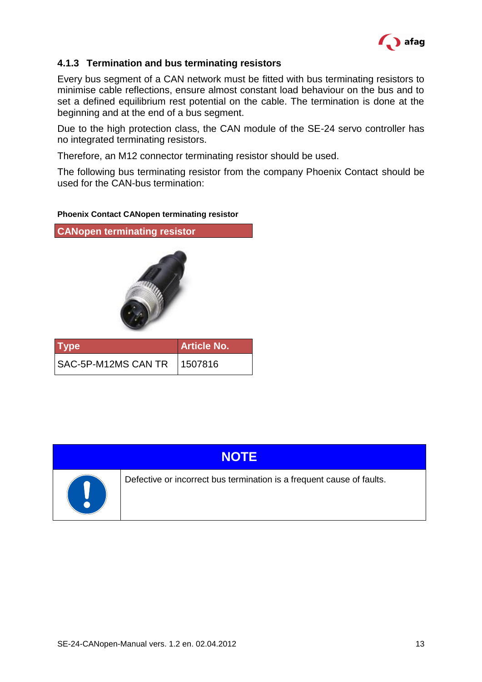

#### <span id="page-12-0"></span>**4.1.3 Termination and bus terminating resistors**

Every bus segment of a CAN network must be fitted with bus terminating resistors to minimise cable reflections, ensure almost constant load behaviour on the bus and to set a defined equilibrium rest potential on the cable. The termination is done at the beginning and at the end of a bus segment.

Due to the high protection class, the CAN module of the SE-24 servo controller has no integrated terminating resistors.

Therefore, an M12 connector terminating resistor should be used.

The following bus terminating resistor from the company Phoenix Contact should be used for the CAN-bus termination:

#### **Phoenix Contact CANopen terminating resistor**

**CANopen terminating resistor**



| <b>Type</b>         | <b>Article No.</b> |
|---------------------|--------------------|
| SAC-5P-M12MS CAN TR | 1507816            |

| <b>NOTE</b>                                                           |
|-----------------------------------------------------------------------|
| Defective or incorrect bus termination is a frequent cause of faults. |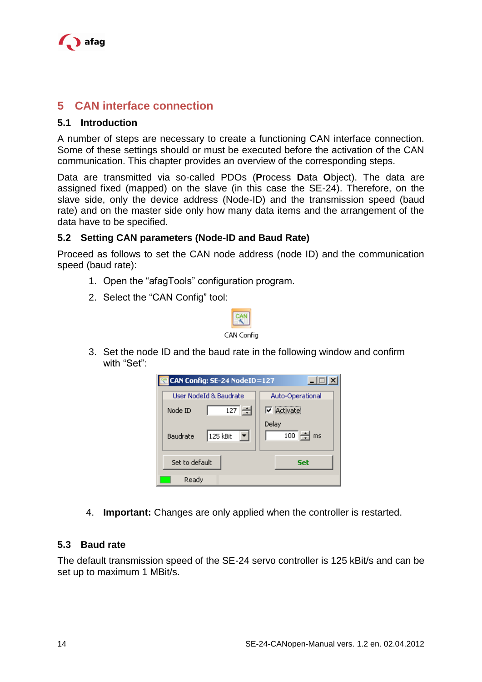

### <span id="page-13-0"></span>**5 CAN interface connection**

#### <span id="page-13-1"></span>**5.1 Introduction**

A number of steps are necessary to create a functioning CAN interface connection. Some of these settings should or must be executed before the activation of the CAN communication. This chapter provides an overview of the corresponding steps.

Data are transmitted via so-called PDOs (**P**rocess **D**ata **O**bject). The data are assigned fixed (mapped) on the slave (in this case the SE-24). Therefore, on the slave side, only the device address (Node-ID) and the transmission speed (baud rate) and on the master side only how many data items and the arrangement of the data have to be specified.

#### <span id="page-13-2"></span>**5.2 Setting CAN parameters (Node-ID and Baud Rate)**

Proceed as follows to set the CAN node address (node ID) and the communication speed (baud rate):

- 1. Open the "afagTools" configuration program.
- 2. Select the "CAN Config" tool:



3. Set the node ID and the baud rate in the following window and confirm with "Set":



4. **Important:** Changes are only applied when the controller is restarted.

#### <span id="page-13-3"></span>**5.3 Baud rate**

The default transmission speed of the SE-24 servo controller is 125 kBit/s and can be set up to maximum 1 MBit/s.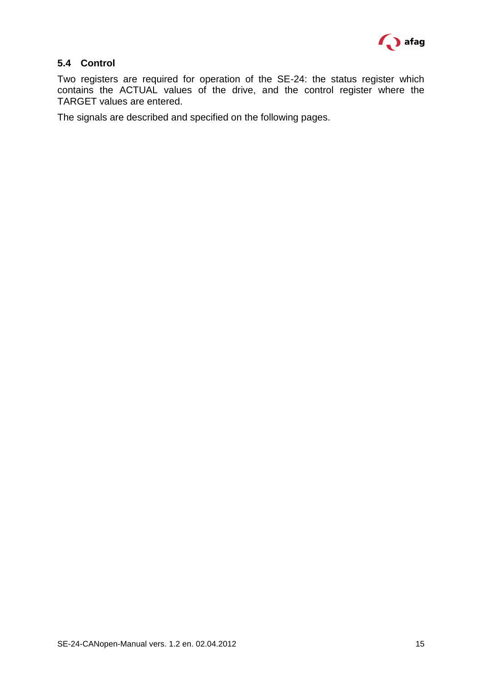

#### <span id="page-14-1"></span><span id="page-14-0"></span>**5.4 Control**

Two registers are required for operation of the SE-24: the status register which contains the ACTUAL values of the drive, and the control register where the TARGET values are entered.

The signals are described and specified on the following pages.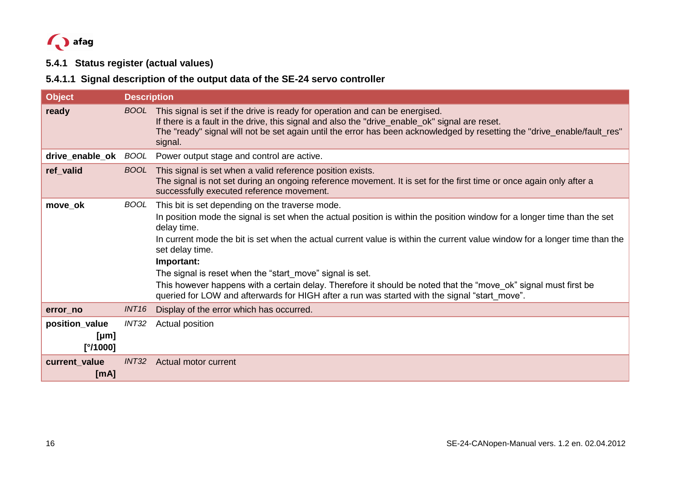

# **5.4.1 Status register (actual values)**

### **5.4.1.1 Signal description of the output data of the SE-24 servo controller**

<span id="page-15-0"></span>

| <b>Object</b>                      | <b>Description</b> |                                                                                                                                                                                                                                                                                                                                                                                                                                                                                                                                                                                                                                           |
|------------------------------------|--------------------|-------------------------------------------------------------------------------------------------------------------------------------------------------------------------------------------------------------------------------------------------------------------------------------------------------------------------------------------------------------------------------------------------------------------------------------------------------------------------------------------------------------------------------------------------------------------------------------------------------------------------------------------|
| ready                              | <b>BOOL</b>        | This signal is set if the drive is ready for operation and can be energised.<br>If there is a fault in the drive, this signal and also the "drive_enable_ok" signal are reset.<br>The "ready" signal will not be set again until the error has been acknowledged by resetting the "drive_enable/fault_res"<br>signal.                                                                                                                                                                                                                                                                                                                     |
| drive_enable_ok                    | BOOL               | Power output stage and control are active.                                                                                                                                                                                                                                                                                                                                                                                                                                                                                                                                                                                                |
| ref_valid                          | <b>BOOL</b>        | This signal is set when a valid reference position exists.<br>The signal is not set during an ongoing reference movement. It is set for the first time or once again only after a<br>successfully executed reference movement.                                                                                                                                                                                                                                                                                                                                                                                                            |
| move_ok                            | BOOL               | This bit is set depending on the traverse mode.<br>In position mode the signal is set when the actual position is within the position window for a longer time than the set<br>delay time.<br>In current mode the bit is set when the actual current value is within the current value window for a longer time than the<br>set delay time.<br>Important:<br>The signal is reset when the "start_move" signal is set.<br>This however happens with a certain delay. Therefore it should be noted that the "move_ok" signal must first be<br>queried for LOW and afterwards for HIGH after a run was started with the signal "start_move". |
| error_no                           | INT <sub>16</sub>  | Display of the error which has occurred.                                                                                                                                                                                                                                                                                                                                                                                                                                                                                                                                                                                                  |
| position_value<br>[µm]<br>[°/1000] | INT32              | Actual position                                                                                                                                                                                                                                                                                                                                                                                                                                                                                                                                                                                                                           |
| current_value<br>[mA]              | INT32              | Actual motor current                                                                                                                                                                                                                                                                                                                                                                                                                                                                                                                                                                                                                      |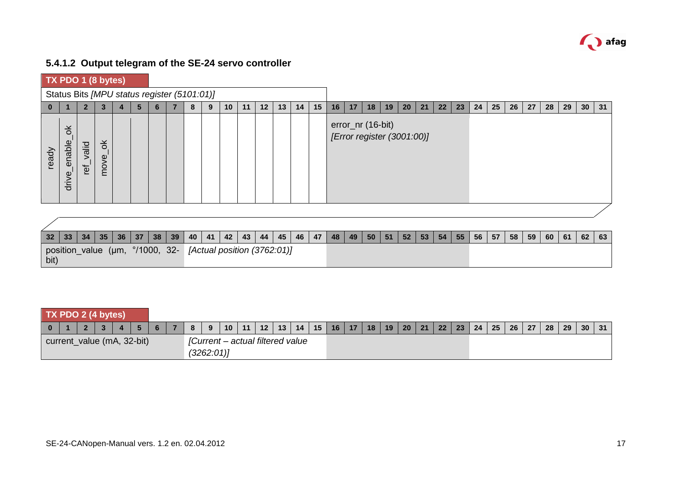

# **5.4.1.2 Output telegram of the SE-24 servo controller**

**TX PDO 1 (8 bytes)**

| U     |                                            | $\mathbf{z}$        | 3                        | 4 | 5. | 6 | 8 | 9 | 10 | 11 | 12 | 13 | 14 | 15 | 16 | 17 | 18 | 19                                              | <b>20</b> | 21 | 22 | 23 | 24 | 25 | $26 \mid 27$ | 28 | 29 | $30 \mid 31$ |  |
|-------|--------------------------------------------|---------------------|--------------------------|---|----|---|---|---|----|----|----|----|----|----|----|----|----|-------------------------------------------------|-----------|----|----|----|----|----|--------------|----|----|--------------|--|
| ready | 농<br>enable.<br>Φ<br>$\dot{\bar{\vec{a}}}$ | <b>bilio</b><br>ref | $\breve{\sigma}$<br>move |   |    |   |   |   |    |    |    |    |    |    |    |    |    | error_nr (16-bit)<br>[Error register (3001:00)] |           |    |    |    |    |    |              |    |    |              |  |

| 32   | $33 \mid 34 \mid$   |  | 35   36   37 |  | 38   39   40   41 | $42 \mid 43 \mid 44 \mid$                         |  | 45 | 46   47   48   49   50 |  |  |  | 51   52   53   54   55   56 | 57 | $58$ 59 | 60 | 61 | 62 | 63 |
|------|---------------------|--|--------------|--|-------------------|---------------------------------------------------|--|----|------------------------|--|--|--|-----------------------------|----|---------|----|----|----|----|
| bit) | position_value (µm, |  |              |  |                   | $^{\circ}$ /1000, 32- [Actual position (3762:01)] |  |    |                        |  |  |  |                             |    |         |    |    |    |    |

|  | TX PDO 2 (4 bytes)         |  |  |  |            |                                  |  |                   |  |                                       |  |  |  |  |                           |  |                   |
|--|----------------------------|--|--|--|------------|----------------------------------|--|-------------------|--|---------------------------------------|--|--|--|--|---------------------------|--|-------------------|
|  |                            |  |  |  | -9         | $\mid$ 10   11   12   $\mid$     |  | 13   14   15   16 |  | 17   18   19   20   21   22   23   24 |  |  |  |  | $25 \mid 26 \mid 27 \mid$ |  | 28   29   30   31 |
|  | current_value (mA, 32-bit) |  |  |  | (3262:01)] | [Current – actual filtered value |  |                   |  |                                       |  |  |  |  |                           |  |                   |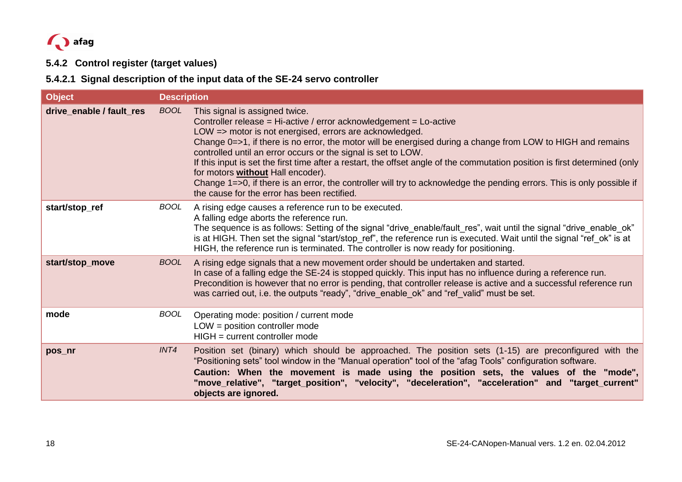

# **5.4.2 Control register (target values)**

### **5.4.2.1 Signal description of the input data of the SE-24 servo controller**

<span id="page-17-0"></span>

| <b>Object</b>            | <b>Description</b> |                                                                                                                                                                                                                                                                                                                                                                                                                                                                                                                                                                                                                                                                                                     |
|--------------------------|--------------------|-----------------------------------------------------------------------------------------------------------------------------------------------------------------------------------------------------------------------------------------------------------------------------------------------------------------------------------------------------------------------------------------------------------------------------------------------------------------------------------------------------------------------------------------------------------------------------------------------------------------------------------------------------------------------------------------------------|
| drive_enable / fault_res | <b>BOOL</b>        | This signal is assigned twice.<br>Controller release = Hi-active / error acknowledgement = Lo-active<br>LOW => motor is not energised, errors are acknowledged.<br>Change 0=>1, if there is no error, the motor will be energised during a change from LOW to HIGH and remains<br>controlled until an error occurs or the signal is set to LOW.<br>If this input is set the first time after a restart, the offset angle of the commutation position is first determined (only<br>for motors <b>without</b> Hall encoder).<br>Change 1=>0, if there is an error, the controller will try to acknowledge the pending errors. This is only possible if<br>the cause for the error has been rectified. |
| start/stop_ref           | BOOL               | A rising edge causes a reference run to be executed.<br>A falling edge aborts the reference run.<br>The sequence is as follows: Setting of the signal "drive_enable/fault_res", wait until the signal "drive_enable_ok"<br>is at HIGH. Then set the signal "start/stop_ref", the reference run is executed. Wait until the signal "ref_ok" is at<br>HIGH, the reference run is terminated. The controller is now ready for positioning.                                                                                                                                                                                                                                                             |
| start/stop_move          | <b>BOOL</b>        | A rising edge signals that a new movement order should be undertaken and started.<br>In case of a falling edge the SE-24 is stopped quickly. This input has no influence during a reference run.<br>Precondition is however that no error is pending, that controller release is active and a successful reference run<br>was carried out, i.e. the outputs "ready", "drive_enable_ok" and "ref_valid" must be set.                                                                                                                                                                                                                                                                                 |
| mode                     | <b>BOOL</b>        | Operating mode: position / current mode<br>$LOW = position controller mode$<br>$HIGH = current controller mode$                                                                                                                                                                                                                                                                                                                                                                                                                                                                                                                                                                                     |
| pos_nr                   | INT4               | Position set (binary) which should be approached. The position sets (1-15) are preconfigured with the<br>"Positioning sets" tool window in the "Manual operation" tool of the "afag Tools" configuration software.<br>Caution: When the movement is made using the position sets, the values of the "mode",<br>"move_relative", "target_position", "velocity", "deceleration", "acceleration" and "target_current"<br>objects are ignored.                                                                                                                                                                                                                                                          |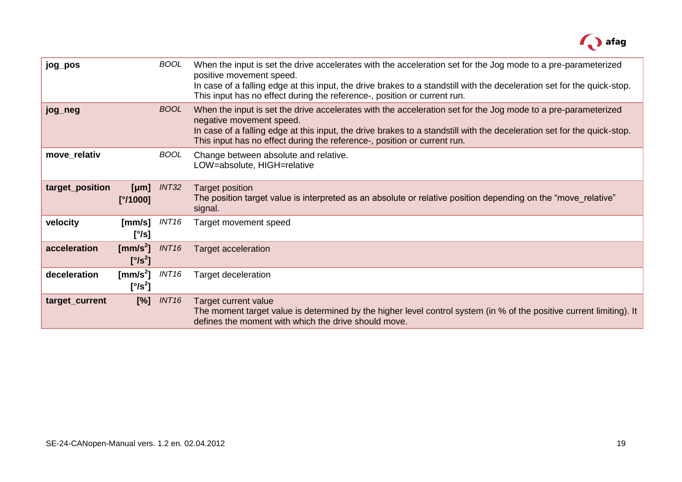

| jog_pos         |                                                       | <b>BOOL</b>       | When the input is set the drive accelerates with the acceleration set for the Jog mode to a pre-parameterized<br>positive movement speed.<br>In case of a falling edge at this input, the drive brakes to a standstill with the deceleration set for the quick-stop.<br>This input has no effect during the reference-, position or current run. |
|-----------------|-------------------------------------------------------|-------------------|--------------------------------------------------------------------------------------------------------------------------------------------------------------------------------------------------------------------------------------------------------------------------------------------------------------------------------------------------|
| jog_neg         |                                                       | <b>BOOL</b>       | When the input is set the drive accelerates with the acceleration set for the Jog mode to a pre-parameterized<br>negative movement speed.<br>In case of a falling edge at this input, the drive brakes to a standstill with the deceleration set for the quick-stop.<br>This input has no effect during the reference-, position or current run. |
| move_relativ    |                                                       | <b>BOOL</b>       | Change between absolute and relative.<br>LOW=absolute, HIGH=relative                                                                                                                                                                                                                                                                             |
| target_position | [µm]<br>[°/1000]                                      | INT32             | <b>Target position</b><br>The position target value is interpreted as an absolute or relative position depending on the "move_relative"<br>signal.                                                                                                                                                                                               |
| velocity        | [mm/s]<br>['/s]                                       | INT <sub>16</sub> | Target movement speed                                                                                                                                                                                                                                                                                                                            |
| acceleration    | [mm/s <sup>2</sup> ]<br>$[^{\circ}$ /s <sup>2</sup> ] | <b>INT16</b>      | Target acceleration                                                                                                                                                                                                                                                                                                                              |
| deceleration    | [mm/s $^2$ ]<br>$[^{\circ}$ /s <sup>2</sup> ]         | INT <sub>16</sub> | Target deceleration                                                                                                                                                                                                                                                                                                                              |
| target_current  | $[\%]$                                                | <b>INT16</b>      | Target current value<br>The moment target value is determined by the higher level control system (in % of the positive current limiting). It<br>defines the moment with which the drive should move.                                                                                                                                             |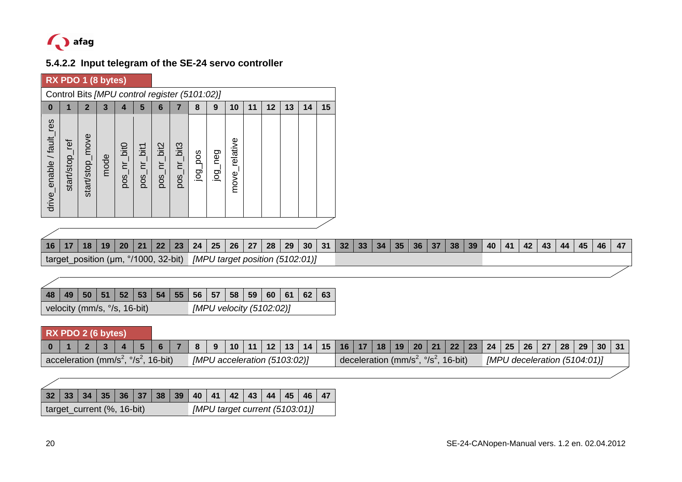

# **5.4.2.2 Input telegram of the SE-24 servo controller**

# **RX PDO 1 (8 bytes)**

|                             | Control Bits [MPU control register (5101:02)] |      |                            |                  |                  |                                         |         |         |                  |    |    |    |    |    |
|-----------------------------|-----------------------------------------------|------|----------------------------|------------------|------------------|-----------------------------------------|---------|---------|------------------|----|----|----|----|----|
| N                           | $\mathbf{2}$                                  | 3    | 4                          | 5                | 6                |                                         | 8       | 9       | 10               | 11 | 12 | 13 | 14 | 15 |
| res<br>drive_enable / fault | start/stop_move<br>ref<br>start/stop_         | mode | bit0<br>$E_{\cdot}$<br>pos | bit1<br>늘<br>pos | bit2<br>č<br>pos | bit <sub>3</sub><br>$\mathbf{F}$<br>pos | jog_pos | jog_neg | relative<br>move |    |    |    |    |    |

|         | 16   17   18   19   20   21   22   23   24   25   26   27   28   29   30   31   32   33   34   35   36   37   38   39   40   41   42   43   44 |                                 |  |  |  |                                         |  |  |  |  |  |  |  |  |  | 45 46 |  |
|---------|------------------------------------------------------------------------------------------------------------------------------------------------|---------------------------------|--|--|--|-----------------------------------------|--|--|--|--|--|--|--|--|--|-------|--|
| target_ |                                                                                                                                                | t_position (µm, °/1000, 32-bit) |  |  |  | $\vert$ [MPU target position (5102:01)] |  |  |  |  |  |  |  |  |  |       |  |

|  |                              |  |  | 48   49   50   51   52   53   54   55   56   57   58   59   60   61   62   63 |                             |  |  |  |
|--|------------------------------|--|--|-------------------------------------------------------------------------------|-----------------------------|--|--|--|
|  | velocity (mm/s, °/s, 16-bit) |  |  |                                                                               | [MPU velocity $(5102:02)$ ] |  |  |  |

|  |  | RX PDO 2 (6 bytes) |                                                                         |  |  |                                 |  |  |  |                                                                                                                                                    |  |  |  |  |                              |  |  |  |
|--|--|--------------------|-------------------------------------------------------------------------|--|--|---------------------------------|--|--|--|----------------------------------------------------------------------------------------------------------------------------------------------------|--|--|--|--|------------------------------|--|--|--|
|  |  |                    |                                                                         |  |  |                                 |  |  |  | 0   1   2   3   4   5   6   7   8   9  10   11   12   13   14   15   16   17   18   19   20   21   22   23   24   25   26   27   28   29   30   31 |  |  |  |  |                              |  |  |  |
|  |  |                    | $\frac{1}{2}$ acceleration (mm/s <sup>2</sup> , $\frac{9}{5}$ , 16-bit) |  |  | [MPU acceleration $(5103:02)$ ] |  |  |  | deceleration (mm/s <sup>2</sup> , $\degree$ /s <sup>2</sup> , 16-bit)                                                                              |  |  |  |  | [MPU deceleration (5104:01)] |  |  |  |

|                            |  |  |  |  |  |  | $33 \mid 34 \mid 35 \mid 36 \mid 37 \mid 38 \mid 39 \mid 40 \mid 41 \mid 42 \mid 43 \mid 44 \mid 45 \mid$ |                                |  |  |  |  |  | 46 |  |
|----------------------------|--|--|--|--|--|--|-----------------------------------------------------------------------------------------------------------|--------------------------------|--|--|--|--|--|----|--|
| target_current (%, 16-bit) |  |  |  |  |  |  |                                                                                                           | [MPU target current (5103:01)] |  |  |  |  |  |    |  |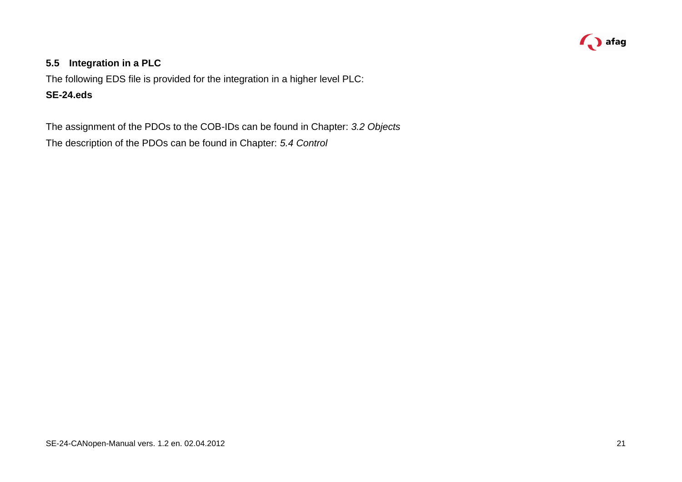

#### **5.5 Integration in a PLC**

The following EDS file is provided for the integration in a higher level PLC: **SE-24.eds**

<span id="page-20-0"></span>The assignment of the PDOs to the COB-IDs can be found in Chapter: *[3.2](#page-8-1) [Objects](#page-8-1)* The description of the PDOs can be found in Chapter: *[5.4](#page-14-1) [Control](#page-14-1)*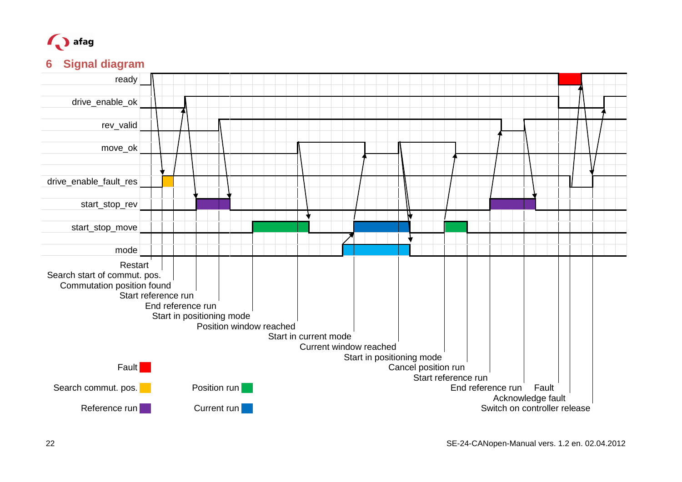

# **6 Signal diagram**

<span id="page-21-0"></span>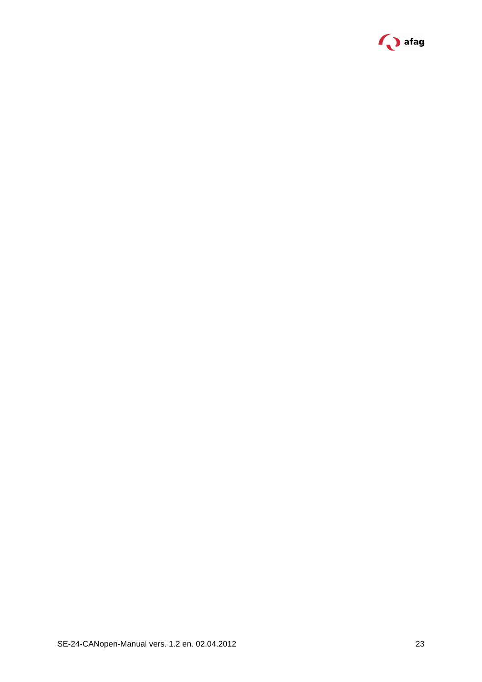